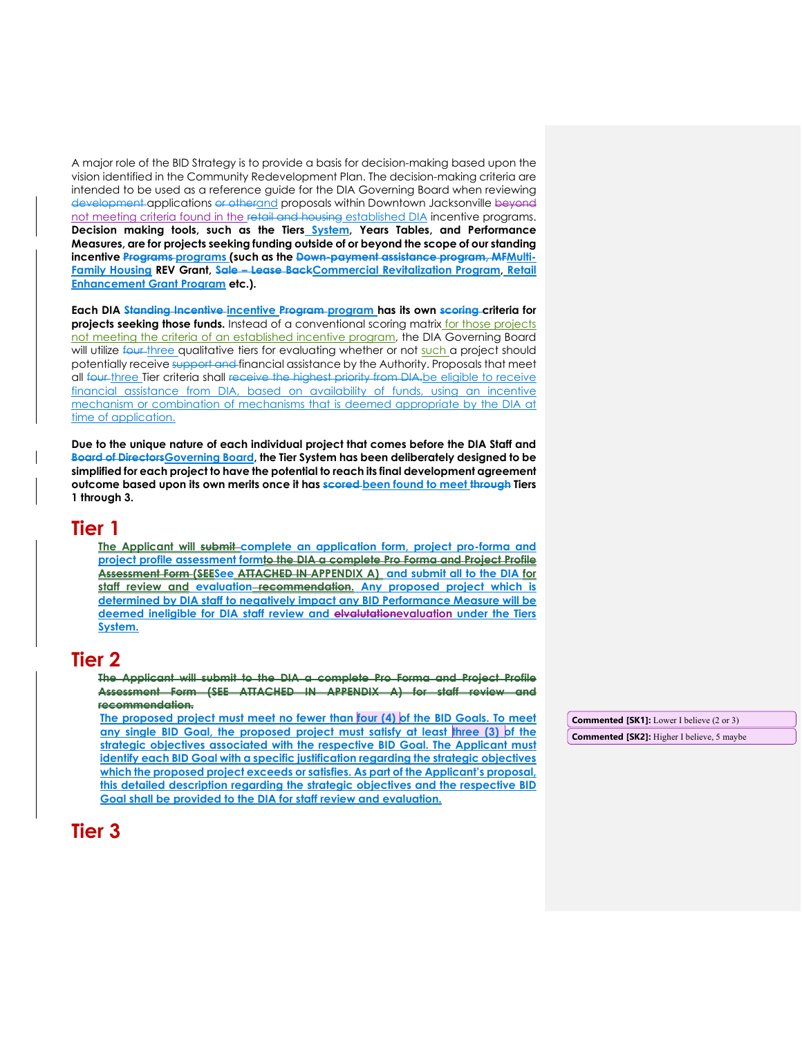A major role of the BID Strategy is to provide a basis for decision-making based upon the vision identified in the Community Redevelopment Plan. The decision-making criteria are intended to be used as a reference guide for the DIA Governing Board when reviewing development applications or otherand proposals within Downtown Jacksonville beyond not meeting criteria found in the retail and housing established DIA incentive programs. **Decision making tools, such as the Tiers System, Years Tables, and Performance Measures, are for projects seeking funding outside of or beyond the scope of our standing incentive Programs programs (such as the Down-payment assistance program, MFMulti-Family Housing REV Grant, Sale – Lease BackCommercial Revitalization Program, Retail Enhancement Grant Program etc.).** 

Each DIA Standing Incentive incentive Program program has its own scoring criteria for **projects seeking those funds.** Instead of a conventional scoring matrix for those projects not meeting the criteria of an established incentive program, the DIA Governing Board will utilize four three qualitative tiers for evaluating whether or not such a project should potentially receive support and financial assistance by the Authority. Proposals that meet all four three Tier criteria shall receive the highest priority from DIA.be eligible to receive financial assistance from DIA, based on availability of funds, using an incentive mechanism or combination of mechanisms that is deemed appropriate by the DIA at time of application.

**Due to the unique nature of each individual project that comes before the DIA Staff and Board of DirectorsGoverning Board, the Tier System has been deliberately designed to be simplified for each project to have the potential to reach its final development agreement outcome based upon its own merits once it has scored been found to meet through Tiers 1 through 3.**

## **Tier 1**

**The Applicant will submit complete an application form, project pro-forma and project profile assessment formto the DIA a complete Pro Forma and Project Profile Assessment Form (SEESee ATTACHED IN APPENDIX A) and submit all to the DIA for staff review and evaluation recommendation. Any proposed project which is determined by DIA staff to negatively impact any BID Performance Measure will be deemed ineligible for DIA staff review and elvalutationevaluation under the Tiers System.** 

## **Tier 2**

**The Applicant will submit to the DIA a complete Pro Forma and Project Profile Assessment Form (SEE ATTACHED IN APPENDIX A) for staff review recommendation.**

**The proposed project must meet no fewer than four (4) of the BID Goals. To meet any single BID Goal, the proposed project must satisfy at least three (3) of the strategic objectives associated with the respective BID Goal. The Applicant must identify each BID Goal with a specific justification regarding the strategic objectives which the proposed project exceeds or satisfies. As part of the Applicant's proposal, this detailed description regarding the strategic objectives and the respective BID Goal shall be provided to the DIA for staff review and evaluation.**

**Tier 3**

**Commented [SK1]:** Lower I believe (2 or 3)

**Commented [SK2]:** Higher I believe, 5 maybe